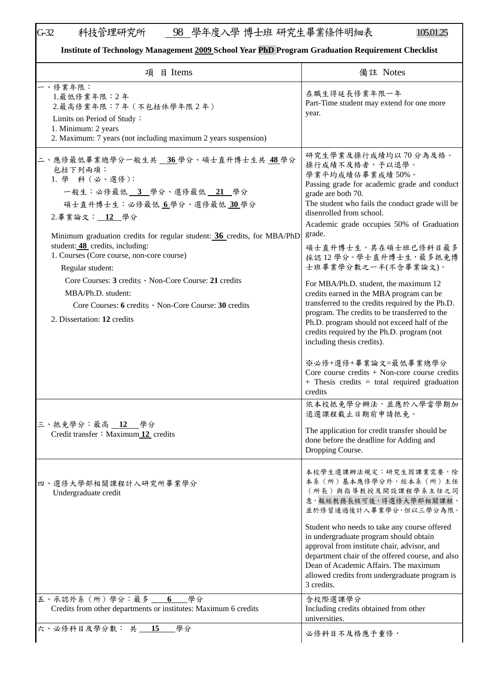## G-32 科技管理研究所 <u>98 學年度入學 博士班 研究生畢業條件明細表 105.01.25</u>

## **Institute of Technology Management 2009 School Year PhD Program Graduation Requirement Checklist**

| 項 目 Items                                                                                                                                                                                                                                                                                                                                                                                                                                                                                        | 備註 Notes                                                                                                                                                                                                                                                                                                                                                                                                                                                                                                                                                                                                                                                                                  |
|--------------------------------------------------------------------------------------------------------------------------------------------------------------------------------------------------------------------------------------------------------------------------------------------------------------------------------------------------------------------------------------------------------------------------------------------------------------------------------------------------|-------------------------------------------------------------------------------------------------------------------------------------------------------------------------------------------------------------------------------------------------------------------------------------------------------------------------------------------------------------------------------------------------------------------------------------------------------------------------------------------------------------------------------------------------------------------------------------------------------------------------------------------------------------------------------------------|
| 一、修業年限:<br>1. 最低修業年限: 2年<br>2.最高修業年限:7年 (不包括休學年限2年)<br>Limits on Period of Study:<br>1. Minimum: 2 years<br>2. Maximum: 7 years (not including maximum 2 years suspension)                                                                                                                                                                                                                                                                                                                       | 在職生得延長修業年限一年<br>Part-Time student may extend for one more<br>year.                                                                                                                                                                                                                                                                                                                                                                                                                                                                                                                                                                                                                        |
| 二、應修最低畢業總學分一般生共 36學分、碩士直升博士生共 48學分<br>包括下列兩項:<br>1. 學 科 (必、選修):<br>一般生:必修最低 3 學分、選修最低 21 學分<br>碩士直升博士生:必修最低 6學分、選修最低 30學分<br>2.畢業論文: 12 學分<br>Minimum graduation credits for regular student: 36 credits, for MBA/PhD<br>student: 48 credits, including:<br>1. Courses (Core course, non-core course)<br>Regular student:<br>Core Courses: 3 credits · Non-Core Course: 21 credits<br>MBA/Ph.D. student:<br>Core Courses: 6 credits · Non-Core Course: 30 credits<br>2. Dissertation: 12 credits | 研究生學業及操行成績均以70分為及格。<br>操行成績不及格者,予以退學。<br>學業平均成績佔畢業成績50%。<br>Passing grade for academic grade and conduct<br>grade are both 70.<br>The student who fails the conduct grade will be<br>disenrolled from school.<br>Academic grade occupies 50% of Graduation<br>grade.<br>碩士直升博士生,其在碩士班已修科目最多<br>採認 12 學分。學士直升博士生, 最多抵免博<br>士班畢業學分數之一半(不含畢業論文)。<br>For MBA/Ph.D. student, the maximum 12<br>credits earned in the MBA program can be<br>transferred to the credits required by the Ph.D.<br>program. The credits to be transferred to the<br>Ph.D. program should not exceed half of the<br>credits required by the Ph.D. program (not<br>including thesis credits).<br>※必修+選修+畢業論文=最低畢業總學分 |
| 三、抵免學分:最高 12 學分                                                                                                                                                                                                                                                                                                                                                                                                                                                                                  | Core course credits $+$ Non-core course credits<br>$+$ Thesis credits = total required graduation<br>credits<br>依本校抵免學分辦法,並應於入學當學期加<br>退選課程截止日期前申請抵免。                                                                                                                                                                                                                                                                                                                                                                                                                                                                                                                                     |
| Credit transfer: Maximum 12 credits                                                                                                                                                                                                                                                                                                                                                                                                                                                              | The application for credit transfer should be<br>done before the deadline for Adding and<br>Dropping Course.                                                                                                                                                                                                                                                                                                                                                                                                                                                                                                                                                                              |
| 四、選修大學部相關課程計入研究所畢業學分<br>Undergraduate credit                                                                                                                                                                                                                                                                                                                                                                                                                                                     | 本校學生選課辦法規定:研究生因課業需要,除<br>本系(所)基本應修學分外,經本系(所)主任<br>(所長)與指導教授及開設課程學系主任之同<br>意,報經教務長核可後,得選修大學部相關課程,<br>並於修習通過後計入畢業學分,但以三學分為限。<br>Student who needs to take any course offered                                                                                                                                                                                                                                                                                                                                                                                                                                                                                                                |
|                                                                                                                                                                                                                                                                                                                                                                                                                                                                                                  | in undergraduate program should obtain<br>approval from institute chair, advisor, and<br>department chair of the offered course, and also<br>Dean of Academic Affairs. The maximum<br>allowed credits from undergraduate program is<br>3 credits.                                                                                                                                                                                                                                                                                                                                                                                                                                         |
| 五、承認外系 (所)學分:最多 _ 6<br>__學分<br>Credits from other departments or institutes: Maximum 6 credits                                                                                                                                                                                                                                                                                                                                                                                                   | 含校際選課學分<br>Including credits obtained from other<br>universities.                                                                                                                                                                                                                                                                                                                                                                                                                                                                                                                                                                                                                         |
| 六、必修科目及學分數: 共 15<br>學分                                                                                                                                                                                                                                                                                                                                                                                                                                                                           | 必修科目不及格應予重修,                                                                                                                                                                                                                                                                                                                                                                                                                                                                                                                                                                                                                                                                              |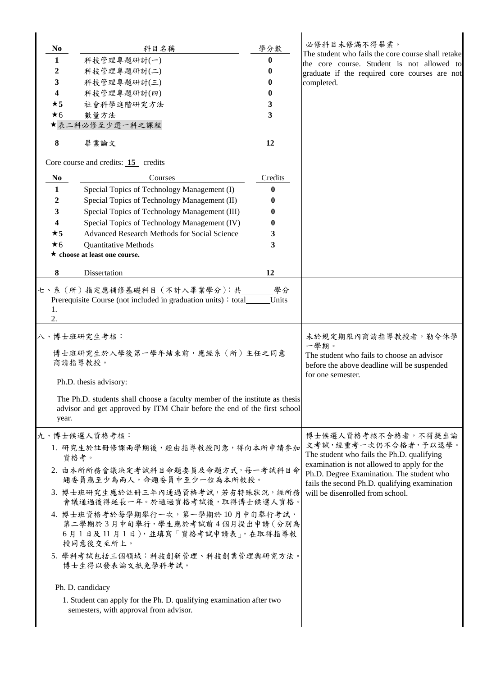| N <sub>0</sub>                                                                                                                                                               | 科目名稱                                                                                                                  | 學分數                                                                                                                                            | 必修科目未修滿不得畢業。<br>The student who fails the core course shall retake                                                                        |
|------------------------------------------------------------------------------------------------------------------------------------------------------------------------------|-----------------------------------------------------------------------------------------------------------------------|------------------------------------------------------------------------------------------------------------------------------------------------|-------------------------------------------------------------------------------------------------------------------------------------------|
| $\mathbf{1}$                                                                                                                                                                 | 科技管理專題研討(一)                                                                                                           | $\boldsymbol{0}$                                                                                                                               | the core course. Student is not allowed to                                                                                                |
| 2                                                                                                                                                                            | 科技管理專題研討(二)                                                                                                           | 0                                                                                                                                              | graduate if the required core courses are not                                                                                             |
| 3                                                                                                                                                                            | 科技管理專題研討(三)                                                                                                           | 0                                                                                                                                              | completed.                                                                                                                                |
| 4                                                                                                                                                                            | 科技管理專題研討(四)                                                                                                           | 0                                                                                                                                              |                                                                                                                                           |
| $\star$ 5                                                                                                                                                                    | 社會科學進階研究方法                                                                                                            | 3                                                                                                                                              |                                                                                                                                           |
| $\star$ 6                                                                                                                                                                    | 數量方法                                                                                                                  | 3                                                                                                                                              |                                                                                                                                           |
|                                                                                                                                                                              | ★表二科必修至少選一科之課程                                                                                                        |                                                                                                                                                |                                                                                                                                           |
| 8                                                                                                                                                                            | 畢業論文                                                                                                                  | 12                                                                                                                                             |                                                                                                                                           |
|                                                                                                                                                                              | Core course and credits: $15$ credits                                                                                 |                                                                                                                                                |                                                                                                                                           |
| N <sub>0</sub>                                                                                                                                                               | Courses                                                                                                               | Credits                                                                                                                                        |                                                                                                                                           |
| $\mathbf{1}$                                                                                                                                                                 | Special Topics of Technology Management (I)                                                                           | $\bf{0}$                                                                                                                                       |                                                                                                                                           |
| 2                                                                                                                                                                            | Special Topics of Technology Management (II)                                                                          | 0                                                                                                                                              |                                                                                                                                           |
| 3                                                                                                                                                                            | Special Topics of Technology Management (III)                                                                         | 0                                                                                                                                              |                                                                                                                                           |
| 4                                                                                                                                                                            | Special Topics of Technology Management (IV)                                                                          | 0                                                                                                                                              |                                                                                                                                           |
| $\star$ 5                                                                                                                                                                    | Advanced Research Methods for Social Science                                                                          | 3                                                                                                                                              |                                                                                                                                           |
| $\star$ 6                                                                                                                                                                    | <b>Quantitative Methods</b>                                                                                           | 3                                                                                                                                              |                                                                                                                                           |
|                                                                                                                                                                              | $\star$ choose at least one course.                                                                                   |                                                                                                                                                |                                                                                                                                           |
| 8                                                                                                                                                                            | Dissertation                                                                                                          | 12                                                                                                                                             |                                                                                                                                           |
| 1.<br>2.<br>八、博士班研究生考核:<br>博士班研究生於入學後第一學年結束前,應經系(所)主任之同意<br>商請指導教授。<br>Ph.D. thesis advisory:<br>The Ph.D. students shall choose a faculty member of the institute as thesis |                                                                                                                       | 未於規定期限內商請指導教授者, 勒令休學<br>一學期。<br>The student who fails to choose an advisor<br>before the above deadline will be suspended<br>for one semester. |                                                                                                                                           |
|                                                                                                                                                                              | advisor and get approved by ITM Chair before the end of the first school<br>year.                                     |                                                                                                                                                |                                                                                                                                           |
|                                                                                                                                                                              | 九、博士候選人資格考核:                                                                                                          |                                                                                                                                                | 博士候選人資格考核不合格者,不得提出論                                                                                                                       |
|                                                                                                                                                                              | 1. 研究生於註冊修課兩學期後,經由指導教授同意,得向本所申請參加<br>資格考。                                                                             |                                                                                                                                                | 文考試,經重考一次仍不合格者,予以退學。<br>The student who fails the Ph.D. qualifying                                                                        |
|                                                                                                                                                                              | 2. 由本所所務會議決定考試科目命題委員及命題方式,每一考試科目命<br>題委員應至少為兩人,命題委員中至少一位為本所教授。                                                        |                                                                                                                                                | examination is not allowed to apply for the<br>Ph.D. Degree Examination. The student who<br>fails the second Ph.D. qualifying examination |
|                                                                                                                                                                              | 3. 博士班研究生應於註冊三年內通過資格考試,若有特殊狀況,經所務<br>會議通過後得延長一年。於通過資格考試後,取得博士候選人資格。                                                   |                                                                                                                                                | will be disenrolled from school.                                                                                                          |
|                                                                                                                                                                              | 4. 博士班資格考於每學期舉行一次,第一學期於10月中旬舉行考試,<br>第二學期於3月中旬舉行, 學生應於考試前4個月提出申請 (分別為<br>6月1日及11月1日),並填寫「資格考試申請表」,在取得指導教<br>授同意後交至所上。 |                                                                                                                                                |                                                                                                                                           |
|                                                                                                                                                                              | 5. 學科考試包括三個領域:科技創新管理、科技創業管理與研究方法。<br>博士生得以發表論文抵免學科考試。                                                                 |                                                                                                                                                |                                                                                                                                           |
|                                                                                                                                                                              | Ph. D. candidacy                                                                                                      |                                                                                                                                                |                                                                                                                                           |
|                                                                                                                                                                              | 1. Student can apply for the Ph. D. qualifying examination after two<br>semesters, with approval from advisor.        |                                                                                                                                                |                                                                                                                                           |
|                                                                                                                                                                              |                                                                                                                       |                                                                                                                                                |                                                                                                                                           |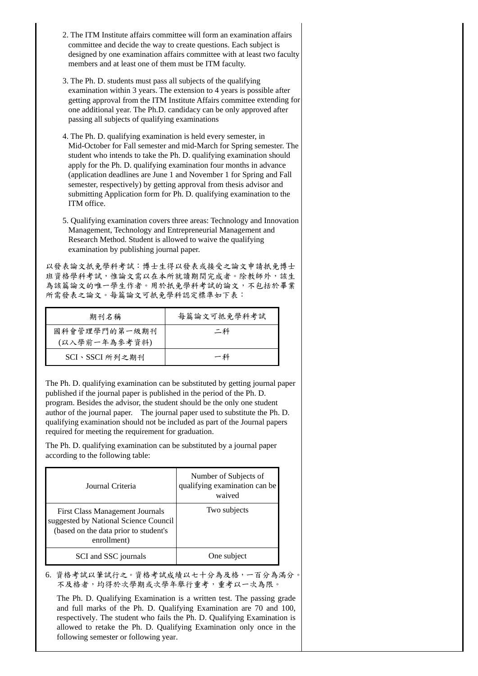- 2. The ITM Institute affairs committee will form an examination affairs committee and decide the way to create questions. Each subject is designed by one examination affairs committee with at least two faculty members and at least one of them must be ITM faculty.
- 3. The Ph. D. students must pass all subjects of the qualifying examination within 3 years. The extension to 4 years is possible after getting approval from the ITM Institute Affairs committee extending for one additional year. The Ph.D. candidacy can be only approved after passing all subjects of qualifying examinations
- 4. The Ph. D. qualifying examination is held every semester, in Mid-October for Fall semester and mid-March for Spring semester. The student who intends to take the Ph. D. qualifying examination should apply for the Ph. D. qualifying examination four months in advance (application deadlines are June 1 and November 1 for Spring and Fall semester, respectively) by getting approval from thesis advisor and submitting Application form for Ph. D. qualifying examination to the ITM office.
- 5. Qualifying examination covers three areas: Technology and Innovation Management, Technology and Entrepreneurial Management and Research Method. Student is allowed to waive the qualifying examination by publishing journal paper.

以發表論文扺免學科考試:博士生得以發表或接受之論文申請扺免博士 班資格學科考試,惟論文需以在本所就讀期間完成者。除教師外,該生 為該篇論文的唯一學生作者。用於扺免學科考試的論文,不包括於畢業 所需發表之論文。每篇論文可扺免學科認定標準如下表:

| 期刊名稱                           | 每篇論文可抵免學科考試 |
|--------------------------------|-------------|
| 國科會管理學門的第一級期刊<br>(以入學前一年為參考資料) | 二科          |
| SCI、SSCI 所列之期刊                 | 一科          |

The Ph. D. qualifying examination can be substituted by getting journal paper published if the journal paper is published in the period of the Ph. D. program. Besides the advisor, the student should be the only one student author of the journal paper. The journal paper used to substitute the Ph. D. qualifying examination should not be included as part of the Journal papers required for meeting the requirement for graduation.

The Ph. D. qualifying examination can be substituted by a journal paper according to the following table:

| Journal Criteria                                                                                                                        | Number of Subjects of<br>qualifying examination can be<br>waived |
|-----------------------------------------------------------------------------------------------------------------------------------------|------------------------------------------------------------------|
| <b>First Class Management Journals</b><br>suggested by National Science Council<br>(based on the data prior to student's<br>enrollment) | Two subjects                                                     |
| SCI and SSC journals                                                                                                                    | One subject                                                      |

6. 資格考試以筆試行之。資格考試成績以七十分為及格,一百分為滿分。 不及格者,均得於次學期或次學年舉行重考,重考以一次為限。

The Ph. D. Qualifying Examination is a written test. The passing grade and full marks of the Ph. D. Qualifying Examination are 70 and 100, respectively. The student who fails the Ph. D. Qualifying Examination is allowed to retake the Ph. D. Qualifying Examination only once in the following semester or following year.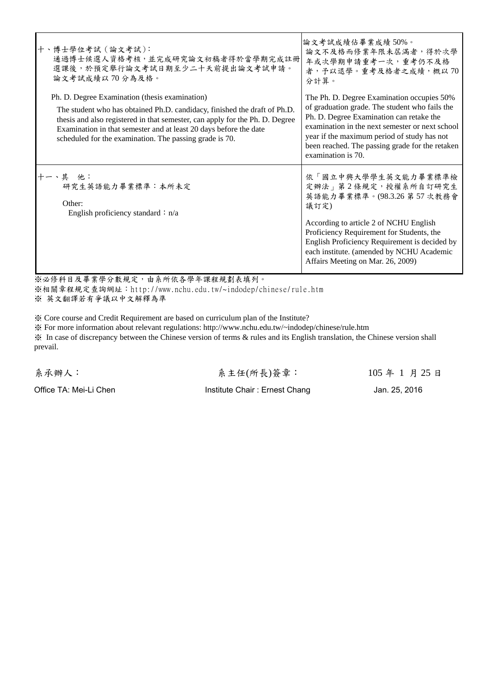| 十、博士學位考試(論文考試):<br>通過博士候選人資格考核,並完成研究論文初稿者得於當學期完成註冊<br>選課後,於預定舉行論文考試日期至少二十天前提出論文考試申請。<br>論文考試成績以70分為及格。                                                                                                                                                                                                                                      | 論文考試成績佔畢業成績 50%。<br>論文不及格而修業年限未屆滿者,得於次學<br>年或次學期申請重考一次,重考仍不及格<br>者,予以退學。重考及格者之成績,概以70<br>分計算。                                                                                                                                                                                                                       |
|---------------------------------------------------------------------------------------------------------------------------------------------------------------------------------------------------------------------------------------------------------------------------------------------------------------------------------------------|---------------------------------------------------------------------------------------------------------------------------------------------------------------------------------------------------------------------------------------------------------------------------------------------------------------------|
| Ph. D. Degree Examination (thesis examination)<br>The student who has obtained Ph.D. candidacy, finished the draft of Ph.D.<br>thesis and also registered in that semester, can apply for the Ph. D. Degree<br>Examination in that semester and at least 20 days before the date<br>scheduled for the examination. The passing grade is 70. | The Ph. D. Degree Examination occupies 50%<br>of graduation grade. The student who fails the<br>Ph. D. Degree Examination can retake the<br>examination in the next semester or next school<br>year if the maximum period of study has not<br>been reached. The passing grade for the retaken<br>examination is 70. |
| 十一、其 他:<br>研究生英語能力畢業標準:本所未定<br>Other:<br>English proficiency standard : $n/a$                                                                                                                                                                                                                                                               | 依「國立中興大學學生英文能力畢業標準檢<br>定辦法」第2條規定,授權系所自訂研究生<br>英語能力畢業標準。(98.3.26 第57次教務會<br>議訂定)<br>According to article 2 of NCHU English<br>Proficiency Requirement for Students, the<br>English Proficiency Requirement is decided by<br>each institute. (amended by NCHU Academic<br>Affairs Meeting on Mar. 26, 2009)           |

※必修科目及畢業學分數規定,由系所依各學年課程規劃表填列。 ※相關章程規定查詢網址:[http://www.nchu.edu.tw/~indodep/chinese/rule.htm](http://www.nchu.edu.tw/%7Eindodep/chinese/rule.htm) ※ 英文翻譯若有爭議以中文解釋為準

※ Core course and Credit Requirement are based on curriculum plan of the Institute?

※ For more information about relevant regulations: http://www.nchu.edu.tw/~indodep/chinese/rule.htm ※ In case of discrepancy between the Chinese version of terms & rules and its English translation, the Chinese version shall prevail.

系承辦人: 系主任(所長)簽章: 105 年 1 月 25 日

Office TA: Mei-Li Chen Institute Chair : Ernest Chang Jan. 25, 2016